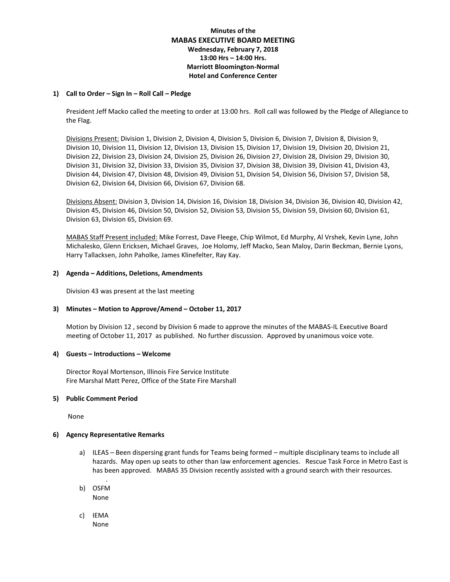## **Minutes of the MABAS EXECUTIVE BOARD MEETING Wednesday, February 7, 2018 13:00 Hrs – 14:00 Hrs. Marriott Bloomington-Normal Hotel and Conference Center**

#### **1) Call to Order – Sign In – Roll Call – Pledge**

President Jeff Macko called the meeting to order at 13:00 hrs. Roll call was followed by the Pledge of Allegiance to the Flag.

Divisions Present: Division 1, Division 2, Division 4, Division 5, Division 6, Division 7, Division 8, Division 9, Division 10, Division 11, Division 12, Division 13, Division 15, Division 17, Division 19, Division 20, Division 21, Division 22, Division 23, Division 24, Division 25, Division 26, Division 27, Division 28, Division 29, Division 30, Division 31, Division 32, Division 33, Division 35, Division 37, Division 38, Division 39, Division 41, Division 43, Division 44, Division 47, Division 48, Division 49, Division 51, Division 54, Division 56, Division 57, Division 58, Division 62, Division 64, Division 66, Division 67, Division 68.

Divisions Absent: Division 3, Division 14, Division 16, Division 18, Division 34, Division 36, Division 40, Division 42, Division 45, Division 46, Division 50, Division 52, Division 53, Division 55, Division 59, Division 60, Division 61, Division 63, Division 65, Division 69.

MABAS Staff Present included: Mike Forrest, Dave Fleege, Chip Wilmot, Ed Murphy, Al Vrshek, Kevin Lyne, John Michalesko, Glenn Ericksen, Michael Graves, Joe Holomy, Jeff Macko, Sean Maloy, Darin Beckman, Bernie Lyons, Harry Tallacksen, John Paholke, James Klinefelter, Ray Kay.

#### **2) Agenda – Additions, Deletions, Amendments**

Division 43 was present at the last meeting

### **3) Minutes – Motion to Approve/Amend – October 11, 2017**

Motion by Division 12 , second by Division 6 made to approve the minutes of the MABAS-IL Executive Board meeting of October 11, 2017 as published. No further discussion. Approved by unanimous voice vote.

#### **4) Guests – Introductions – Welcome**

Director Royal Mortenson, Illinois Fire Service Institute Fire Marshal Matt Perez, Office of the State Fire Marshall

### **5) Public Comment Period**

None

### **6) Agency Representative Remarks**

.

- a) ILEAS Been dispersing grant funds for Teams being formed multiple disciplinary teams to include all hazards. May open up seats to other than law enforcement agencies. Rescue Task Force in Metro East is has been approved. MABAS 35 Division recently assisted with a ground search with their resources.
- b) OSFM None
- c) IEMA None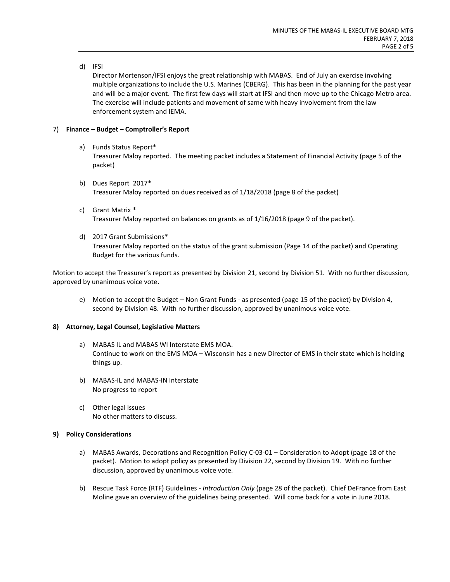### d) IFSI

Director Mortenson/IFSI enjoys the great relationship with MABAS. End of July an exercise involving multiple organizations to include the U.S. Marines (CBERG). This has been in the planning for the past year and will be a major event. The first few days will start at IFSI and then move up to the Chicago Metro area. The exercise will include patients and movement of same with heavy involvement from the law enforcement system and IEMA.

### 7) **Finance – Budget – Comptroller's Report**

- a) Funds Status Report\* Treasurer Maloy reported. The meeting packet includes a Statement of Financial Activity (page 5 of the packet)
- b) Dues Report 2017\* Treasurer Maloy reported on dues received as of 1/18/2018 (page 8 of the packet)
- c) Grant Matrix \* Treasurer Maloy reported on balances on grants as of 1/16/2018 (page 9 of the packet).
- d) 2017 Grant Submissions\* Treasurer Maloy reported on the status of the grant submission (Page 14 of the packet) and Operating Budget for the various funds.

Motion to accept the Treasurer's report as presented by Division 21, second by Division 51. With no further discussion, approved by unanimous voice vote.

e) Motion to accept the Budget – Non Grant Funds - as presented (page 15 of the packet) by Division 4, second by Division 48. With no further discussion, approved by unanimous voice vote.

### **8) Attorney, Legal Counsel, Legislative Matters**

- a) MABAS IL and MABAS WI Interstate EMS MOA. Continue to work on the EMS MOA – Wisconsin has a new Director of EMS in their state which is holding things up.
- b) MABAS-IL and MABAS-IN Interstate No progress to report
- c) Other legal issues No other matters to discuss.

### **9) Policy Considerations**

- a) MABAS Awards, Decorations and Recognition Policy C-03-01 Consideration to Adopt (page 18 of the packet). Motion to adopt policy as presented by Division 22, second by Division 19. With no further discussion, approved by unanimous voice vote.
- b) Rescue Task Force (RTF) Guidelines *Introduction Only* (page 28 of the packet). Chief DeFrance from East Moline gave an overview of the guidelines being presented. Will come back for a vote in June 2018.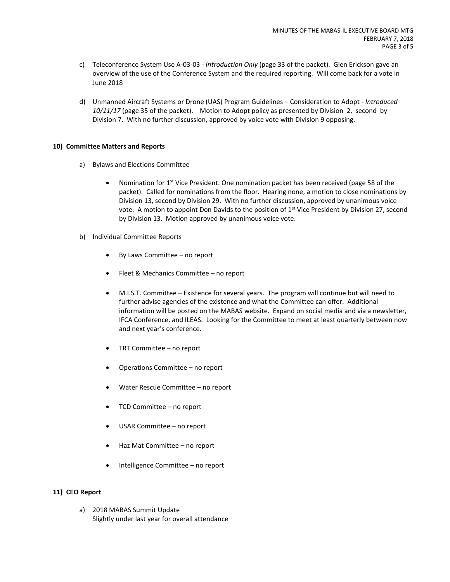- c) Teleconference System Use A-03-03 *Introduction Only* (page 33 of the packet). Glen Erickson gave an overview of the use of the Conference System and the required reporting. Will come back for a vote in June 2018
- d) Unmanned Aircraft Systems or Drone (UAS) Program Guidelines Consideration to Adopt *Introduced 10/11/17* (page 35 of the packet). Motion to Adopt policy as presented by Division 2, second by Division 7. With no further discussion, approved by voice vote with Division 9 opposing.

### **10) Committee Matters and Reports**

- a) Bylaws and Elections Committee
	- Nomination for 1<sup>st</sup> Vice President. One nomination packet has been received (page 58 of the packet). Called for nominations from the floor. Hearing none, a motion to close nominations by Division 13, second by Division 29. With no further discussion, approved by unanimous voice vote. A motion to appoint Don Davids to the position of  $1<sup>st</sup>$  Vice President by Division 27, second by Division 13. Motion approved by unanimous voice vote.
- b) Individual Committee Reports
	- By Laws Committee no report
	- Fleet & Mechanics Committee no report
	- M.I.S.T. Committee Existence for several years. The program will continue but will need to further advise agencies of the existence and what the Committee can offer. Additional information will be posted on the MABAS website. Expand on social media and via a newsletter, IFCA Conference, and ILEAS. Looking for the Committee to meet at least quarterly between now and next year's conference.
	- TRT Committee no report
	- Operations Committee no report
	- Water Rescue Committee no report
	- TCD Committee no report
	- USAR Committee no report
	- Haz Mat Committee no report
	- Intelligence Committee no report

### **11) CEO Report**

a) 2018 MABAS Summit Update Slightly under last year for overall attendance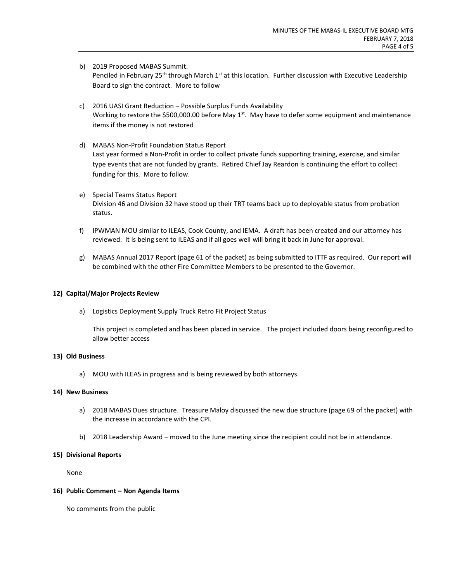- b) 2019 Proposed MABAS Summit. Penciled in February 25<sup>th</sup> through March 1<sup>st</sup> at this location. Further discussion with Executive Leadership Board to sign the contract. More to follow
- c) 2016 UASI Grant Reduction Possible Surplus Funds Availability Working to restore the \$500,000.00 before May  $1<sup>st</sup>$ . May have to defer some equipment and maintenance items if the money is not restored
- d) MABAS Non-Profit Foundation Status Report Last year formed a Non-Profit in order to collect private funds supporting training, exercise, and similar type events that are not funded by grants. Retired Chief Jay Reardon is continuing the effort to collect funding for this. More to follow.
- e) Special Teams Status Report Division 46 and Division 32 have stood up their TRT teams back up to deployable status from probation status.
- f) IPWMAN MOU similar to ILEAS, Cook County, and IEMA. A draft has been created and our attorney has reviewed. It is being sent to ILEAS and if all goes well will bring it back in June for approval.
- g) MABAS Annual 2017 Report (page 61 of the packet) as being submitted to ITTF as required. Our report will be combined with the other Fire Committee Members to be presented to the Governor.

### **12) Capital/Major Projects Review**

a) Logistics Deployment Supply Truck Retro Fit Project Status

This project is completed and has been placed in service. The project included doors being reconfigured to allow better access

### **13) Old Business**

a) MOU with ILEAS in progress and is being reviewed by both attorneys.

### **14) New Business**

- a) 2018 MABAS Dues structure. Treasure Maloy discussed the new due structure (page 69 of the packet) with the increase in accordance with the CPI.
- b) 2018 Leadership Award moved to the June meeting since the recipient could not be in attendance.

### **15) Divisional Reports**

None

### **16) Public Comment – Non Agenda Items**

No comments from the public